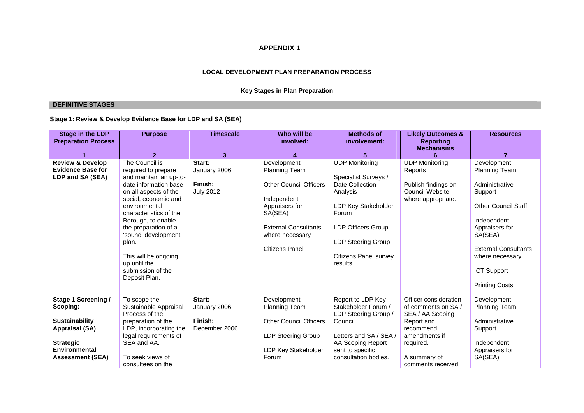## **APPENDIX 1**

#### **LOCAL DEVELOPMENT PLAN PREPARATION PROCESS**

### **Key Stages in Plan Preparation**

### **DEFINITIVE STAGES**

## **Stage 1: Review & Develop Evidence Base for LDP and SA (SEA)**

| <b>Stage in the LDP</b><br><b>Preparation Process</b>                                                                                                    | <b>Purpose</b>                                                                                                                                                                                                                                                                                                                                   | <b>Timescale</b>                                      | Who will be<br>involved:                                                                                                                                                                    | <b>Methods of</b><br>involvement:                                                                                                                                                                                 | <b>Likely Outcomes &amp;</b><br><b>Reporting</b><br><b>Mechanisms</b>                                                                                         | <b>Resources</b>                                                                                                                                                                                                                            |
|----------------------------------------------------------------------------------------------------------------------------------------------------------|--------------------------------------------------------------------------------------------------------------------------------------------------------------------------------------------------------------------------------------------------------------------------------------------------------------------------------------------------|-------------------------------------------------------|---------------------------------------------------------------------------------------------------------------------------------------------------------------------------------------------|-------------------------------------------------------------------------------------------------------------------------------------------------------------------------------------------------------------------|---------------------------------------------------------------------------------------------------------------------------------------------------------------|---------------------------------------------------------------------------------------------------------------------------------------------------------------------------------------------------------------------------------------------|
|                                                                                                                                                          | $\overline{2}$                                                                                                                                                                                                                                                                                                                                   | $\overline{3}$                                        | 4                                                                                                                                                                                           | $5\phantom{.0}$                                                                                                                                                                                                   | 6                                                                                                                                                             | $\overline{7}$                                                                                                                                                                                                                              |
| <b>Review &amp; Develop</b><br><b>Evidence Base for</b><br>LDP and SA (SEA)                                                                              | The Council is<br>required to prepare<br>and maintain an up-to-<br>date information base<br>on all aspects of the<br>social, economic and<br>environmental<br>characteristics of the<br>Borough, to enable<br>the preparation of a<br>'sound' development<br>plan.<br>This will be ongoing<br>up until the<br>submission of the<br>Deposit Plan. | Start:<br>January 2006<br>Finish:<br><b>July 2012</b> | Development<br><b>Planning Team</b><br><b>Other Council Officers</b><br>Independent<br>Appraisers for<br>SA(SEA)<br><b>External Consultants</b><br>where necessary<br><b>Citizens Panel</b> | <b>UDP Monitoring</b><br>Specialist Surveys /<br>Date Collection<br>Analysis<br>LDP Key Stakeholder<br>Forum<br><b>LDP Officers Group</b><br><b>LDP Steering Group</b><br><b>Citizens Panel survey</b><br>results | <b>UDP Monitoring</b><br>Reports<br>Publish findings on<br>Council Website<br>where appropriate.                                                              | Development<br><b>Planning Team</b><br>Administrative<br>Support<br><b>Other Council Staff</b><br>Independent<br>Appraisers for<br>SA(SEA)<br><b>External Consultants</b><br>where necessary<br><b>ICT Support</b><br><b>Printing Costs</b> |
| <b>Stage 1 Screening /</b><br>Scoping:<br><b>Sustainability</b><br>Appraisal (SA)<br><b>Strategic</b><br><b>Environmental</b><br><b>Assessment (SEA)</b> | To scope the<br>Sustainable Appraisal<br>Process of the<br>preparation of the<br>LDP, incorporating the<br>legal requirements of<br>SEA and AA.<br>To seek views of<br>consultees on the                                                                                                                                                         | Start:<br>January 2006<br>Finish:<br>December 2006    | Development<br><b>Planning Team</b><br><b>Other Council Officers</b><br>LDP Steering Group<br>LDP Key Stakeholder<br>Forum                                                                  | Report to LDP Key<br>Stakeholder Forum /<br>LDP Steering Group /<br>Council<br>Letters and SA / SEA /<br>AA Scoping Report<br>sent to specific<br>consultation bodies.                                            | Officer consideration<br>of comments on SA/<br>SEA / AA Scoping<br>Report and<br>recommend<br>amendments if<br>required.<br>A summary of<br>comments received | Development<br><b>Planning Team</b><br>Administrative<br>Support<br>Independent<br>Appraisers for<br>SA(SEA)                                                                                                                                |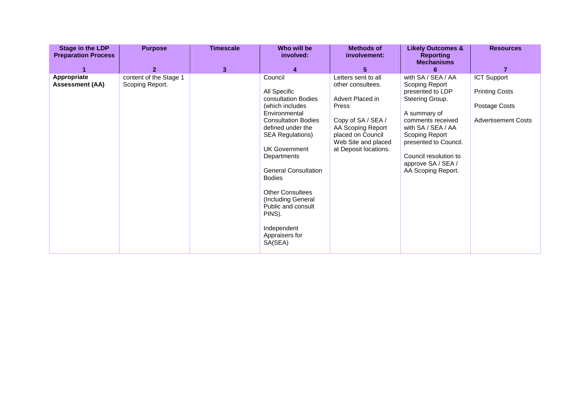| <b>Stage in the LDP</b><br><b>Preparation Process</b> | <b>Purpose</b>                            | <b>Timescale</b> | Who will be<br>involved:                                                                                                                                                                                                                                                                                                                                                              | <b>Methods of</b><br>involvement:                                                                                                                                                     | <b>Likely Outcomes &amp;</b><br><b>Reporting</b><br><b>Mechanisms</b>                                                                                                                                                                                  | <b>Resources</b>                                                                           |
|-------------------------------------------------------|-------------------------------------------|------------------|---------------------------------------------------------------------------------------------------------------------------------------------------------------------------------------------------------------------------------------------------------------------------------------------------------------------------------------------------------------------------------------|---------------------------------------------------------------------------------------------------------------------------------------------------------------------------------------|--------------------------------------------------------------------------------------------------------------------------------------------------------------------------------------------------------------------------------------------------------|--------------------------------------------------------------------------------------------|
|                                                       | $\mathbf{2}$                              | 3                | 4                                                                                                                                                                                                                                                                                                                                                                                     | 5 <sup>5</sup>                                                                                                                                                                        |                                                                                                                                                                                                                                                        | 7                                                                                          |
| Appropriate<br><b>Assessment (AA)</b>                 | content of the Stage 1<br>Scoping Report. |                  | Council<br>All Specific<br>consultation Bodies<br>(which includes)<br>Environmental<br><b>Consultation Bodies</b><br>defined under the<br><b>SEA Regulations)</b><br><b>UK Government</b><br>Departments<br><b>General Consultation</b><br><b>Bodies</b><br><b>Other Consultees</b><br>(Including General<br>Public and consult<br>PINS).<br>Independent<br>Appraisers for<br>SA(SEA) | Letters sent to all<br>other consultees.<br>Advert Placed in<br>Press<br>Copy of SA / SEA /<br>AA Scoping Report<br>placed on Council<br>Web Site and placed<br>at Deposit locations. | with SA / SEA / AA<br>Scoping Report<br>presented to LDP<br>Steering Group.<br>A summary of<br>comments received<br>with SA / SEA / AA<br>Scoping Report<br>presented to Council.<br>Council resolution to<br>approve SA / SEA /<br>AA Scoping Report. | <b>ICT Support</b><br><b>Printing Costs</b><br>Postage Costs<br><b>Advertisement Costs</b> |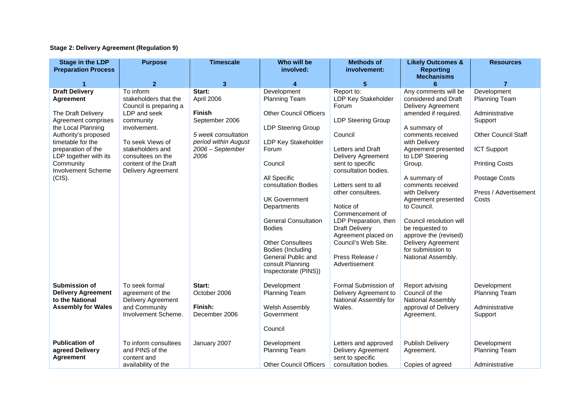## **Stage 2: Delivery Agreement (Regulation 9)**

| <b>Stage in the LDP</b><br><b>Preparation Process</b>                                                                                                                                                                                                        | <b>Purpose</b>                                                                                                                                                                                                              | <b>Timescale</b>                                                                                                                   | Who will be<br>involved:                                                                                                                                                                                                                                                                                                                                                                     | <b>Methods of</b><br>involvement:                                                                                                                                                                                                                                                                                                                                                                | <b>Likely Outcomes &amp;</b><br><b>Reporting</b><br><b>Mechanisms</b>                                                                                                                                                                                                                                                                                                                                                                           | <b>Resources</b>                                                                                                                                                                          |
|--------------------------------------------------------------------------------------------------------------------------------------------------------------------------------------------------------------------------------------------------------------|-----------------------------------------------------------------------------------------------------------------------------------------------------------------------------------------------------------------------------|------------------------------------------------------------------------------------------------------------------------------------|----------------------------------------------------------------------------------------------------------------------------------------------------------------------------------------------------------------------------------------------------------------------------------------------------------------------------------------------------------------------------------------------|--------------------------------------------------------------------------------------------------------------------------------------------------------------------------------------------------------------------------------------------------------------------------------------------------------------------------------------------------------------------------------------------------|-------------------------------------------------------------------------------------------------------------------------------------------------------------------------------------------------------------------------------------------------------------------------------------------------------------------------------------------------------------------------------------------------------------------------------------------------|-------------------------------------------------------------------------------------------------------------------------------------------------------------------------------------------|
| 1                                                                                                                                                                                                                                                            | 2 <sup>1</sup>                                                                                                                                                                                                              | 3                                                                                                                                  | 4                                                                                                                                                                                                                                                                                                                                                                                            | $\overline{\mathbf{5}}$                                                                                                                                                                                                                                                                                                                                                                          | 6                                                                                                                                                                                                                                                                                                                                                                                                                                               | $\overline{7}$                                                                                                                                                                            |
| <b>Draft Delivery</b><br><b>Agreement</b><br>The Draft Delivery<br>Agreement comprises<br>the Local Planning<br>Authority's proposed<br>timetable for the<br>preparation of the<br>LDP together with its<br>Community<br><b>Involvement Scheme</b><br>(CIS). | To inform<br>stakeholders that the<br>Council is preparing a<br>LDP and seek<br>community<br>involvement.<br>To seek Views of<br>stakeholders and<br>consultees on the<br>content of the Draft<br><b>Delivery Agreement</b> | Start:<br>April 2006<br><b>Finish</b><br>September 2006<br>5 week consultation<br>period within August<br>2006 - September<br>2006 | Development<br>Planning Team<br><b>Other Council Officers</b><br><b>LDP Steering Group</b><br>LDP Key Stakeholder<br>Forum<br>Council<br>All Specific<br>consultation Bodies<br><b>UK Government</b><br>Departments<br><b>General Consultation</b><br><b>Bodies</b><br><b>Other Consultees</b><br><b>Bodies (Including</b><br>General Public and<br>consult Planning<br>Inspectorate (PINS)) | Report to:<br>LDP Key Stakeholder<br>Forum<br><b>LDP Steering Group</b><br>Council<br>Letters and Draft<br><b>Delivery Agreement</b><br>sent to specific<br>consultation bodies.<br>Letters sent to all<br>other consultees.<br>Notice of<br>Commencement of<br>LDP Preparation, then<br><b>Draft Delivery</b><br>Agreement placed on<br>Council's Web Site.<br>Press Release /<br>Advertisement | Any comments will be<br>considered and Draft<br><b>Delivery Agreement</b><br>amended if required.<br>A summary of<br>comments received<br>with Delivery<br>Agreement presented<br>to LDP Steering<br>Group.<br>A summary of<br>comments received<br>with Delivery<br>Agreement presented<br>to Council.<br>Council resolution will<br>be requested to<br>approve the (revised)<br>Delivery Agreement<br>for submission to<br>National Assembly. | Development<br>Planning Team<br>Administrative<br>Support<br><b>Other Council Staff</b><br><b>ICT Support</b><br><b>Printing Costs</b><br>Postage Costs<br>Press / Advertisement<br>Costs |
| Submission of<br><b>Delivery Agreement</b><br>to the National<br><b>Assembly for Wales</b>                                                                                                                                                                   | To seek formal<br>agreement of the<br>Delivery Agreement<br>and Community<br>Involvement Scheme.                                                                                                                            | Start:<br>October 2006<br>Finish:<br>December 2006                                                                                 | Development<br>Planning Team<br>Welsh Assembly<br>Government<br>Council                                                                                                                                                                                                                                                                                                                      | Formal Submission of<br>Delivery Agreement to<br>National Assembly for<br>Wales.                                                                                                                                                                                                                                                                                                                 | Report advising<br>Council of the<br>National Assembly<br>approval of Delivery<br>Agreement.                                                                                                                                                                                                                                                                                                                                                    | Development<br>Planning Team<br>Administrative<br>Support                                                                                                                                 |
| <b>Publication of</b><br>agreed Delivery<br><b>Agreement</b>                                                                                                                                                                                                 | To inform consultees<br>and PINS of the<br>content and<br>availability of the                                                                                                                                               | January 2007                                                                                                                       | Development<br>Planning Team<br><b>Other Council Officers</b>                                                                                                                                                                                                                                                                                                                                | Letters and approved<br><b>Delivery Agreement</b><br>sent to specific<br>consultation bodies.                                                                                                                                                                                                                                                                                                    | <b>Publish Delivery</b><br>Agreement.<br>Copies of agreed                                                                                                                                                                                                                                                                                                                                                                                       | Development<br>Planning Team<br>Administrative                                                                                                                                            |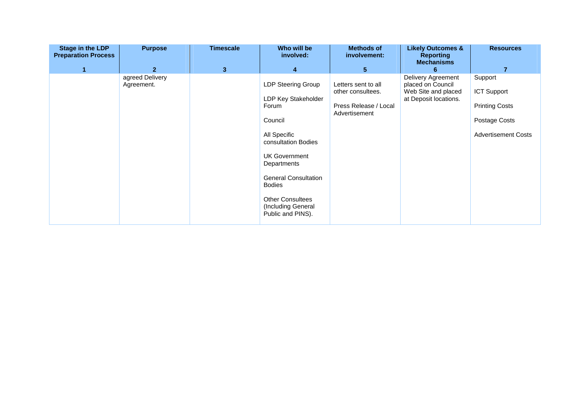| <b>Stage in the LDP</b><br><b>Preparation Process</b> | <b>Purpose</b>                | <b>Timescale</b> | Who will be<br>involved:                                                                                                                                                                                                                                          | <b>Methods of</b><br>involvement:                                                  | <b>Likely Outcomes &amp;</b><br><b>Reporting</b><br><b>Mechanisms</b>                   | <b>Resources</b>                                                                                      |
|-------------------------------------------------------|-------------------------------|------------------|-------------------------------------------------------------------------------------------------------------------------------------------------------------------------------------------------------------------------------------------------------------------|------------------------------------------------------------------------------------|-----------------------------------------------------------------------------------------|-------------------------------------------------------------------------------------------------------|
| 1                                                     | $\overline{2}$                | $\mathbf{3}$     | $\overline{\mathbf{4}}$                                                                                                                                                                                                                                           | $5\phantom{.0}$                                                                    | 6                                                                                       | $\overline{7}$                                                                                        |
|                                                       | agreed Delivery<br>Agreement. |                  | LDP Steering Group<br>LDP Key Stakeholder<br>Forum<br>Council<br>All Specific<br>consultation Bodies<br><b>UK Government</b><br>Departments<br><b>General Consultation</b><br><b>Bodies</b><br><b>Other Consultees</b><br>(Including General<br>Public and PINS). | Letters sent to all<br>other consultees.<br>Press Release / Local<br>Advertisement | Delivery Agreement<br>placed on Council<br>Web Site and placed<br>at Deposit locations. | Support<br><b>ICT Support</b><br><b>Printing Costs</b><br>Postage Costs<br><b>Advertisement Costs</b> |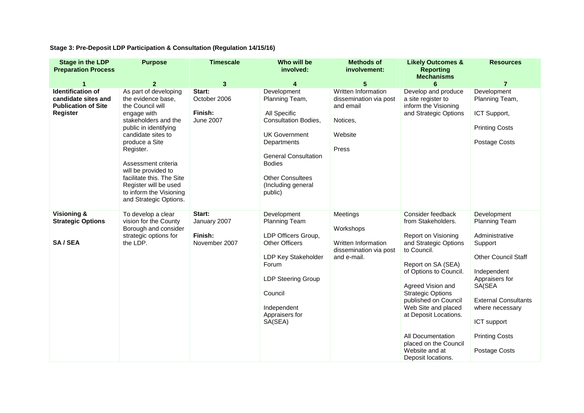**Stage 3: Pre-Deposit LDP Participation & Consultation (Regulation 14/15/16)** 

| <b>Stage in the LDP</b><br><b>Preparation Process</b>                                            | <b>Purpose</b>                                                                                                                                                                                                                                                                                                                                | <b>Timescale</b>                                      | Who will be<br>involved:                                                                                                                                                                                                        | <b>Methods of</b><br>involvement:                                                          | <b>Likely Outcomes &amp;</b><br><b>Reporting</b><br><b>Mechanisms</b>                                                                                                                                                                                                                                                                                                 | <b>Resources</b>                                                                                                                                                                                                                                     |
|--------------------------------------------------------------------------------------------------|-----------------------------------------------------------------------------------------------------------------------------------------------------------------------------------------------------------------------------------------------------------------------------------------------------------------------------------------------|-------------------------------------------------------|---------------------------------------------------------------------------------------------------------------------------------------------------------------------------------------------------------------------------------|--------------------------------------------------------------------------------------------|-----------------------------------------------------------------------------------------------------------------------------------------------------------------------------------------------------------------------------------------------------------------------------------------------------------------------------------------------------------------------|------------------------------------------------------------------------------------------------------------------------------------------------------------------------------------------------------------------------------------------------------|
|                                                                                                  | $\mathbf{2}$                                                                                                                                                                                                                                                                                                                                  | $\mathbf{3}$                                          | 4                                                                                                                                                                                                                               | $5\phantom{.0}$                                                                            | 6                                                                                                                                                                                                                                                                                                                                                                     | $\overline{7}$                                                                                                                                                                                                                                       |
| <b>Identification of</b><br>candidate sites and<br><b>Publication of Site</b><br><b>Register</b> | As part of developing<br>the evidence base,<br>the Council will<br>engage with<br>stakeholders and the<br>public in identifying<br>candidate sites to<br>produce a Site<br>Register.<br>Assessment criteria<br>will be provided to<br>facilitate this. The Site<br>Register will be used<br>to inform the Visioning<br>and Strategic Options. | Start:<br>October 2006<br>Finish:<br><b>June 2007</b> | Development<br>Planning Team,<br>All Specific<br><b>Consultation Bodies,</b><br><b>UK Government</b><br>Departments<br><b>General Consultation</b><br><b>Bodies</b><br><b>Other Consultees</b><br>(Including general<br>public) | Written Information<br>dissemination via post<br>and email<br>Notices,<br>Website<br>Press | Develop and produce<br>a site register to<br>inform the Visioning<br>and Strategic Options                                                                                                                                                                                                                                                                            | Development<br>Planning Team,<br>ICT Support,<br><b>Printing Costs</b><br>Postage Costs                                                                                                                                                              |
| Visioning &<br><b>Strategic Options</b><br>SA/SEA                                                | To develop a clear<br>vision for the County<br>Borough and consider<br>strategic options for<br>the LDP.                                                                                                                                                                                                                                      | Start:<br>January 2007<br>Finish:<br>November 2007    | Development<br><b>Planning Team</b><br>LDP Officers Group,<br><b>Other Officers</b><br>LDP Key Stakeholder<br>Forum<br><b>LDP Steering Group</b><br>Council<br>Independent<br>Appraisers for<br>SA(SEA)                         | Meetings<br>Workshops<br>Written Information<br>dissemination via post<br>and e-mail.      | Consider feedback<br>from Stakeholders.<br>Report on Visioning<br>and Strategic Options<br>to Council.<br>Report on SA (SEA)<br>of Options to Council.<br>Agreed Vision and<br><b>Strategic Options</b><br>published on Council<br>Web Site and placed<br>at Deposit Locations.<br>All Documentation<br>placed on the Council<br>Website and at<br>Deposit locations. | Development<br><b>Planning Team</b><br>Administrative<br>Support<br><b>Other Council Staff</b><br>Independent<br>Appraisers for<br>SA(SEA<br><b>External Consultants</b><br>where necessary<br>ICT support<br><b>Printing Costs</b><br>Postage Costs |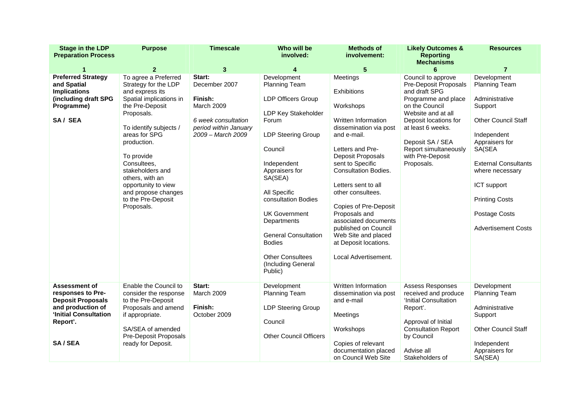| <b>Stage in the LDP</b><br><b>Preparation Process</b>                                                                                       | <b>Purpose</b>                                                                                                                                                                                                                                                                                                                              | <b>Timescale</b>                                                                                                             | Who will be<br>involved:                                                                                                                                                                                                                                                                                                                                                | <b>Methods of</b><br>involvement:                                                                                                                                                                                                                                                                                                                                                                              | <b>Likely Outcomes &amp;</b><br><b>Reporting</b><br><b>Mechanisms</b>                                                                                                                                                                                    | <b>Resources</b>                                                                                                                                                                                                                                                                   |
|---------------------------------------------------------------------------------------------------------------------------------------------|---------------------------------------------------------------------------------------------------------------------------------------------------------------------------------------------------------------------------------------------------------------------------------------------------------------------------------------------|------------------------------------------------------------------------------------------------------------------------------|-------------------------------------------------------------------------------------------------------------------------------------------------------------------------------------------------------------------------------------------------------------------------------------------------------------------------------------------------------------------------|----------------------------------------------------------------------------------------------------------------------------------------------------------------------------------------------------------------------------------------------------------------------------------------------------------------------------------------------------------------------------------------------------------------|----------------------------------------------------------------------------------------------------------------------------------------------------------------------------------------------------------------------------------------------------------|------------------------------------------------------------------------------------------------------------------------------------------------------------------------------------------------------------------------------------------------------------------------------------|
|                                                                                                                                             | $\overline{2}$                                                                                                                                                                                                                                                                                                                              | 3                                                                                                                            | 4                                                                                                                                                                                                                                                                                                                                                                       | 5                                                                                                                                                                                                                                                                                                                                                                                                              | 6                                                                                                                                                                                                                                                        | $\overline{7}$                                                                                                                                                                                                                                                                     |
| <b>Preferred Strategy</b><br>and Spatial<br><b>Implications</b><br>(including draft SPG<br>Programme)<br>SA/SEA                             | To agree a Preferred<br>Strategy for the LDP<br>and express its<br>Spatial implications in<br>the Pre-Deposit<br>Proposals.<br>To identify subjects /<br>areas for SPG<br>production.<br>To provide<br>Consultees.<br>stakeholders and<br>others, with an<br>opportunity to view<br>and propose changes<br>to the Pre-Deposit<br>Proposals. | Start:<br>December 2007<br>Finish:<br><b>March 2009</b><br>6 week consultation<br>period within January<br>2009 - March 2009 | Development<br>Planning Team<br><b>LDP Officers Group</b><br>LDP Key Stakeholder<br>Forum<br><b>LDP Steering Group</b><br>Council<br>Independent<br>Appraisers for<br>SA(SEA)<br>All Specific<br>consultation Bodies<br><b>UK Government</b><br>Departments<br><b>General Consultation</b><br><b>Bodies</b><br><b>Other Consultees</b><br>(Including General<br>Public) | Meetings<br>Exhibitions<br>Workshops<br>Written Information<br>dissemination via post<br>and e-mail.<br>Letters and Pre-<br>Deposit Proposals<br>sent to Specific<br><b>Consultation Bodies.</b><br>Letters sent to all<br>other consultees.<br>Copies of Pre-Deposit<br>Proposals and<br>associated documents<br>published on Council<br>Web Site and placed<br>at Deposit locations.<br>Local Advertisement. | Council to approve<br>Pre-Deposit Proposals<br>and draft SPG<br>Programme and place<br>on the Council<br>Website and at all<br>Deposit locations for<br>at least 6 weeks.<br>Deposit SA / SEA<br>Report simultaneously<br>with Pre-Deposit<br>Proposals. | Development<br><b>Planning Team</b><br>Administrative<br>Support<br><b>Other Council Staff</b><br>Independent<br>Appraisers for<br>SA(SEA<br><b>External Consultants</b><br>where necessary<br>ICT support<br><b>Printing Costs</b><br>Postage Costs<br><b>Advertisement Costs</b> |
| <b>Assessment of</b><br>responses to Pre-<br><b>Deposit Proposals</b><br>and production of<br>'Initial Consultation<br>Report'.<br>SA / SEA | Enable the Council to<br>consider the response<br>to the Pre-Deposit<br>Proposals and amend<br>if appropriate.<br>SA/SEA of amended<br>Pre-Deposit Proposals<br>ready for Deposit.                                                                                                                                                          | Start:<br>March 2009<br>Finish:<br>October 2009                                                                              | Development<br><b>Planning Team</b><br><b>LDP Steering Group</b><br>Council<br><b>Other Council Officers</b>                                                                                                                                                                                                                                                            | Written Information<br>dissemination via post<br>and e-mail<br>Meetings<br>Workshops<br>Copies of relevant<br>documentation placed<br>on Council Web Site                                                                                                                                                                                                                                                      | Assess Responses<br>received and produce<br>'Initial Consultation<br>Report'.<br>Approval of Initial<br><b>Consultation Report</b><br>by Council<br>Advise all<br>Stakeholders of                                                                        | Development<br><b>Planning Team</b><br>Administrative<br>Support<br><b>Other Council Staff</b><br>Independent<br>Appraisers for<br>SA(SEA)                                                                                                                                         |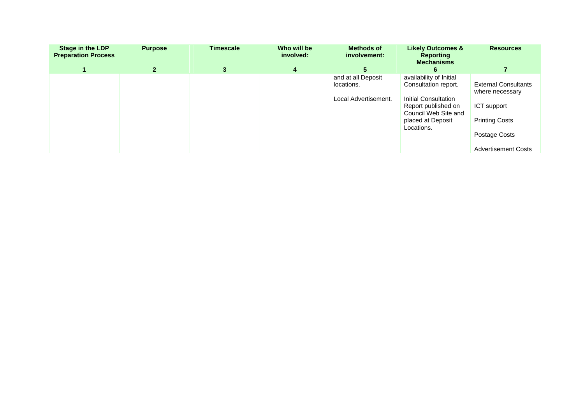| <b>Stage in the LDP</b><br><b>Preparation Process</b> | <b>Purpose</b> | <b>Timescale</b> | Who will be<br>involved: | <b>Methods of</b><br>involvement:                        | <b>Likely Outcomes &amp;</b><br><b>Reporting</b><br><b>Mechanisms</b>                                                                                     | <b>Resources</b>                                                                                                                      |
|-------------------------------------------------------|----------------|------------------|--------------------------|----------------------------------------------------------|-----------------------------------------------------------------------------------------------------------------------------------------------------------|---------------------------------------------------------------------------------------------------------------------------------------|
|                                                       | $\mathbf{2}$   | $\mathbf{3}$     | 4                        | 5.                                                       |                                                                                                                                                           |                                                                                                                                       |
|                                                       |                |                  |                          | and at all Deposit<br>locations.<br>Local Advertisement. | availability of Initial<br>Consultation report.<br>Initial Consultation<br>Report published on<br>Council Web Site and<br>placed at Deposit<br>Locations. | <b>External Consultants</b><br>where necessary<br>ICT support<br><b>Printing Costs</b><br>Postage Costs<br><b>Advertisement Costs</b> |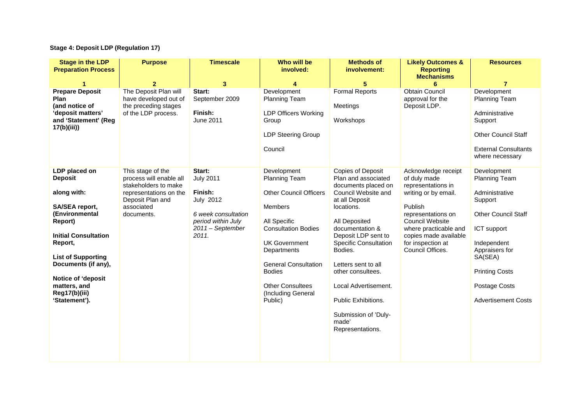# **Stage 4: Deposit LDP (Regulation 17)**

| <b>Stage in the LDP</b><br><b>Preparation Process</b>                                                                                                                                                                                                               | <b>Purpose</b>                                                                                                                                 | <b>Timescale</b>                                                                                                                    | Who will be<br>involved:                                                                                                                                                                                                                                                  | <b>Methods of</b><br>involvement:                                                                                                                                                                                                                                                                                                                                                   | <b>Likely Outcomes &amp;</b><br><b>Reporting</b><br><b>Mechanisms</b>                                                                                                                                                                   | <b>Resources</b>                                                                                                                                                                                                           |
|---------------------------------------------------------------------------------------------------------------------------------------------------------------------------------------------------------------------------------------------------------------------|------------------------------------------------------------------------------------------------------------------------------------------------|-------------------------------------------------------------------------------------------------------------------------------------|---------------------------------------------------------------------------------------------------------------------------------------------------------------------------------------------------------------------------------------------------------------------------|-------------------------------------------------------------------------------------------------------------------------------------------------------------------------------------------------------------------------------------------------------------------------------------------------------------------------------------------------------------------------------------|-----------------------------------------------------------------------------------------------------------------------------------------------------------------------------------------------------------------------------------------|----------------------------------------------------------------------------------------------------------------------------------------------------------------------------------------------------------------------------|
|                                                                                                                                                                                                                                                                     | $\overline{2}$                                                                                                                                 | 3                                                                                                                                   | 4                                                                                                                                                                                                                                                                         | 5                                                                                                                                                                                                                                                                                                                                                                                   | 6                                                                                                                                                                                                                                       | $\overline{7}$                                                                                                                                                                                                             |
| <b>Prepare Deposit</b><br>Plan<br>(and notice of<br>'deposit matters'<br>and 'Statement' (Reg<br>17(b)(iii))                                                                                                                                                        | The Deposit Plan will<br>have developed out of<br>the preceding stages<br>of the LDP process.                                                  | Start:<br>September 2009<br>Finish:<br>June 2011                                                                                    | Development<br>Planning Team<br><b>LDP Officers Working</b><br>Group<br>LDP Steering Group<br>Council                                                                                                                                                                     | <b>Formal Reports</b><br>Meetings<br>Workshops                                                                                                                                                                                                                                                                                                                                      | <b>Obtain Council</b><br>approval for the<br>Deposit LDP.                                                                                                                                                                               | Development<br>Planning Team<br>Administrative<br>Support<br><b>Other Council Staff</b><br><b>External Consultants</b><br>where necessary                                                                                  |
| LDP placed on<br><b>Deposit</b><br>along with:<br>SA/SEA report,<br>(Environmental<br>Report)<br><b>Initial Consultation</b><br>Report,<br><b>List of Supporting</b><br>Documents (if any),<br>Notice of 'deposit<br>matters, and<br>Reg17(b)(iii)<br>'Statement'). | This stage of the<br>process will enable all<br>stakeholders to make<br>representations on the<br>Deposit Plan and<br>associated<br>documents. | Start:<br><b>July 2011</b><br>Finish:<br><b>July 2012</b><br>6 week consultation<br>period within July<br>2011 - September<br>2011. | Development<br>Planning Team<br><b>Other Council Officers</b><br>Members<br>All Specific<br><b>Consultation Bodies</b><br><b>UK Government</b><br>Departments<br><b>General Consultation</b><br><b>Bodies</b><br><b>Other Consultees</b><br>(Including General<br>Public) | <b>Copies of Deposit</b><br>Plan and associated<br>documents placed on<br>Council Website and<br>at all Deposit<br>locations.<br>All Deposited<br>documentation &<br>Deposit LDP sent to<br><b>Specific Consultation</b><br>Bodies.<br>Letters sent to all<br>other consultees.<br>Local Advertisement.<br>Public Exhibitions.<br>Submission of 'Duly-<br>made'<br>Representations. | Acknowledge receipt<br>of duly made<br>representations in<br>writing or by email.<br>Publish<br>representations on<br><b>Council Website</b><br>where practicable and<br>copies made available<br>for inspection at<br>Council Offices. | Development<br>Planning Team<br>Administrative<br>Support<br><b>Other Council Staff</b><br>ICT support<br>Independent<br>Appraisers for<br>SA(SEA)<br><b>Printing Costs</b><br>Postage Costs<br><b>Advertisement Costs</b> |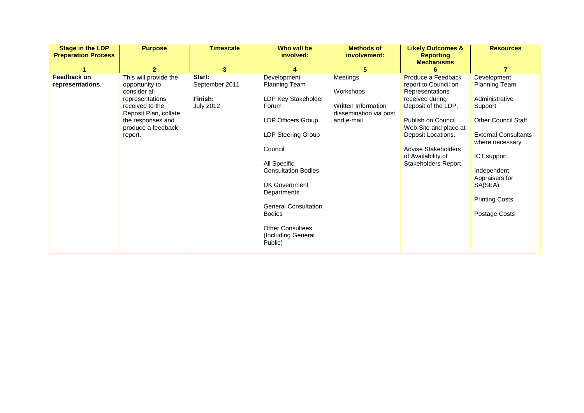| <b>Stage in the LDP</b><br><b>Preparation Process</b> | <b>Purpose</b>                                                                                                                                                                    | <b>Timescale</b>                                             | Who will be<br>involved:                                                                                                                                                                                                                                             | <b>Methods of</b><br>involvement:                                                          | <b>Likely Outcomes &amp;</b><br><b>Reporting</b><br><b>Mechanisms</b>                                                                                                                                                                                   | <b>Resources</b>                                                                                                                                                                                                                                      |
|-------------------------------------------------------|-----------------------------------------------------------------------------------------------------------------------------------------------------------------------------------|--------------------------------------------------------------|----------------------------------------------------------------------------------------------------------------------------------------------------------------------------------------------------------------------------------------------------------------------|--------------------------------------------------------------------------------------------|---------------------------------------------------------------------------------------------------------------------------------------------------------------------------------------------------------------------------------------------------------|-------------------------------------------------------------------------------------------------------------------------------------------------------------------------------------------------------------------------------------------------------|
| Feedback on<br>representations.                       | 2<br>This will provide the<br>opportunity to<br>consider all<br>representations<br>received to the<br>Deposit Plan, collate<br>the responses and<br>produce a feedback<br>report. | 3<br>Start:<br>September 2011<br>Finish:<br><b>July 2012</b> | 4<br>Development<br>Planning Team<br>LDP Key Stakeholder<br>Forum<br><b>LDP Officers Group</b><br>LDP Steering Group<br>Council<br>All Specific<br><b>Consultation Bodies</b><br><b>UK Government</b><br>Departments<br><b>General Consultation</b><br><b>Bodies</b> | 5<br>Meetings<br>Workshops<br>Written Information<br>dissemination via post<br>and e-mail. | Produce a Feedback<br>report to Council on<br>Representations<br>received during<br>Deposit of the LDP.<br>Publish on Council<br>Web-Site and place at<br>Deposit Locations.<br>Advise Stakeholders<br>of Availability of<br><b>Stakeholders Report</b> | Development<br><b>Planning Team</b><br>Administrative<br>Support<br><b>Other Council Staff</b><br><b>External Consultants</b><br>where necessary<br>ICT support<br>Independent<br>Appraisers for<br>SA(SEA)<br><b>Printing Costs</b><br>Postage Costs |
|                                                       |                                                                                                                                                                                   |                                                              | <b>Other Consultees</b><br>(Including General<br>Public)                                                                                                                                                                                                             |                                                                                            |                                                                                                                                                                                                                                                         |                                                                                                                                                                                                                                                       |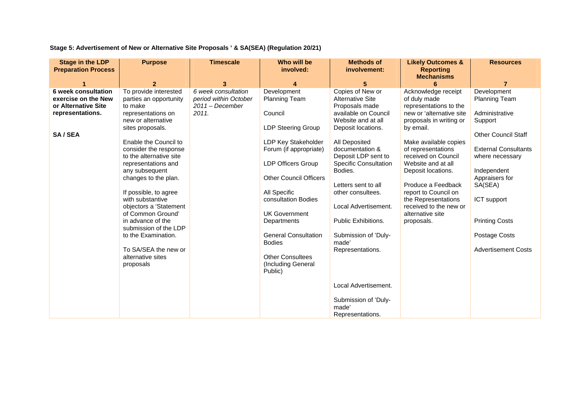**Stage 5: Advertisement of New or Alternative Site Proposals ' & SA(SEA) (Regulation 20/21)** 

| <b>Stage in the LDP</b><br><b>Preparation Process</b>                                                  | <b>Purpose</b>                                                                                                                                                                                                                                                                                                                                                                                                                                                                                      | <b>Timescale</b>                                                           | Who will be<br>involved:                                                                                                                                                                                                                                                                                                                                                             | <b>Methods of</b><br>involvement:                                                                                                                                                                                                                                                                                                                                                                                                       | <b>Likely Outcomes &amp;</b><br><b>Reporting</b><br><b>Mechanisms</b>                                                                                                                                                                                                                                                                                                                | <b>Resources</b>                                                                                                                                                                                                                                                                    |
|--------------------------------------------------------------------------------------------------------|-----------------------------------------------------------------------------------------------------------------------------------------------------------------------------------------------------------------------------------------------------------------------------------------------------------------------------------------------------------------------------------------------------------------------------------------------------------------------------------------------------|----------------------------------------------------------------------------|--------------------------------------------------------------------------------------------------------------------------------------------------------------------------------------------------------------------------------------------------------------------------------------------------------------------------------------------------------------------------------------|-----------------------------------------------------------------------------------------------------------------------------------------------------------------------------------------------------------------------------------------------------------------------------------------------------------------------------------------------------------------------------------------------------------------------------------------|--------------------------------------------------------------------------------------------------------------------------------------------------------------------------------------------------------------------------------------------------------------------------------------------------------------------------------------------------------------------------------------|-------------------------------------------------------------------------------------------------------------------------------------------------------------------------------------------------------------------------------------------------------------------------------------|
|                                                                                                        | $\overline{2}$                                                                                                                                                                                                                                                                                                                                                                                                                                                                                      | 3                                                                          |                                                                                                                                                                                                                                                                                                                                                                                      | 5                                                                                                                                                                                                                                                                                                                                                                                                                                       |                                                                                                                                                                                                                                                                                                                                                                                      | $\overline{7}$                                                                                                                                                                                                                                                                      |
| <b>6 week consultation</b><br>exercise on the New<br>or Alternative Site<br>representations.<br>SA/SEA | To provide interested<br>parties an opportunity<br>to make<br>representations on<br>new or alternative<br>sites proposals.<br>Enable the Council to<br>consider the response<br>to the alternative site<br>representations and<br>any subsequent<br>changes to the plan.<br>If possible, to agree<br>with substantive<br>objectors a 'Statement<br>of Common Ground'<br>in advance of the<br>submission of the LDP<br>to the Examination.<br>To SA/SEA the new or<br>alternative sites<br>proposals | 6 week consultation<br>period within October<br>$2011 - December$<br>2011. | Development<br><b>Planning Team</b><br>Council<br><b>LDP Steering Group</b><br>LDP Key Stakeholder<br>Forum (if appropriate)<br><b>LDP Officers Group</b><br><b>Other Council Officers</b><br>All Specific<br>consultation Bodies<br><b>UK Government</b><br>Departments<br><b>General Consultation</b><br><b>Bodies</b><br><b>Other Consultees</b><br>(Including General<br>Public) | Copies of New or<br><b>Alternative Site</b><br>Proposals made<br>available on Council<br>Website and at all<br>Deposit locations.<br>All Deposited<br>documentation &<br>Deposit LDP sent to<br><b>Specific Consultation</b><br>Bodies.<br>Letters sent to all<br>other consultees.<br>Local Advertisement.<br>Public Exhibitions.<br>Submission of 'Duly-<br>made'<br>Representations.<br>Local Advertisement.<br>Submission of 'Duly- | Acknowledge receipt<br>of duly made<br>representations to the<br>new or 'alternative site<br>proposals in writing or<br>by email.<br>Make available copies<br>of representations<br>received on Council<br>Website and at all<br>Deposit locations.<br>Produce a Feedback<br>report to Council on<br>the Representations<br>received to the new or<br>alternative site<br>proposals. | Development<br><b>Planning Team</b><br>Administrative<br>Support<br><b>Other Council Staff</b><br><b>External Consultants</b><br>where necessary<br>Independent<br>Appraisers for<br>SA(SEA)<br>ICT support<br><b>Printing Costs</b><br>Postage Costs<br><b>Advertisement Costs</b> |
|                                                                                                        |                                                                                                                                                                                                                                                                                                                                                                                                                                                                                                     |                                                                            |                                                                                                                                                                                                                                                                                                                                                                                      | made'<br>Representations.                                                                                                                                                                                                                                                                                                                                                                                                               |                                                                                                                                                                                                                                                                                                                                                                                      |                                                                                                                                                                                                                                                                                     |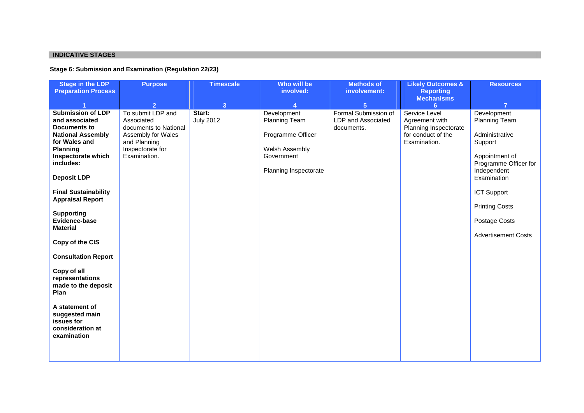### **INDICATIVE STAGES**

### **Stage 6: Submission and Examination (Regulation 22/23)**

| <b>Stage in the LDP</b><br><b>Preparation Process</b>                                                                                                                                                                                                                                                                                                                                                                                                                                                                | <b>Purpose</b>                                                                                                                                       | <b>Timescale</b>                             | Who will be<br>involved:                                                                                        | <b>Methods of</b><br>involvement:                                          | <b>Likely Outcomes &amp;</b><br><b>Reporting</b>                                                    | <b>Resources</b>                                                                                                                                                                                                          |
|----------------------------------------------------------------------------------------------------------------------------------------------------------------------------------------------------------------------------------------------------------------------------------------------------------------------------------------------------------------------------------------------------------------------------------------------------------------------------------------------------------------------|------------------------------------------------------------------------------------------------------------------------------------------------------|----------------------------------------------|-----------------------------------------------------------------------------------------------------------------|----------------------------------------------------------------------------|-----------------------------------------------------------------------------------------------------|---------------------------------------------------------------------------------------------------------------------------------------------------------------------------------------------------------------------------|
|                                                                                                                                                                                                                                                                                                                                                                                                                                                                                                                      |                                                                                                                                                      |                                              |                                                                                                                 |                                                                            | <b>Mechanisms</b>                                                                                   |                                                                                                                                                                                                                           |
| <b>Submission of LDP</b><br>and associated<br><b>Documents to</b><br><b>National Assembly</b><br>for Wales and<br><b>Planning</b><br>Inspectorate which<br>includes:<br><b>Deposit LDP</b><br><b>Final Sustainability</b><br><b>Appraisal Report</b><br><b>Supporting</b><br>Evidence-base<br><b>Material</b><br>Copy of the CIS<br><b>Consultation Report</b><br>Copy of all<br>representations<br>made to the deposit<br>Plan<br>A statement of<br>suggested main<br>issues for<br>consideration at<br>examination | $\overline{2}$<br>To submit LDP and<br>Associated<br>documents to National<br>Assembly for Wales<br>and Planning<br>Inspectorate for<br>Examination. | 3 <sup>2</sup><br>Start:<br><b>July 2012</b> | Δ<br>Development<br>Planning Team<br>Programme Officer<br>Welsh Assembly<br>Government<br>Planning Inspectorate | 5 <sub>5</sub><br>Formal Submission of<br>LDP and Associated<br>documents. | 6<br>Service Level<br>Agreement with<br>Planning Inspectorate<br>for conduct of the<br>Examination. | Development<br>Planning Team<br>Administrative<br>Support<br>Appointment of<br>Programme Officer for<br>Independent<br>Examination<br>ICT Support<br><b>Printing Costs</b><br>Postage Costs<br><b>Advertisement Costs</b> |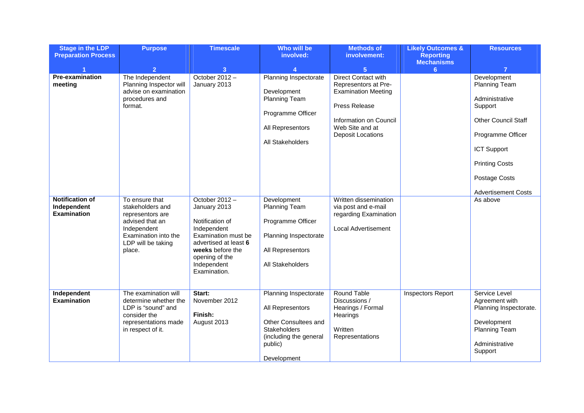| <b>Stage in the LDP</b><br><b>Preparation Process</b>       | <b>Purpose</b>                                                                                                                                   | <b>Timescale</b>                                                                                                                                                                     | Who will be<br>involved:                                                                                                                     | <b>Methods of</b><br>involvement:                                                                                                                                          | <b>Likely Outcomes &amp;</b><br><b>Reporting</b> | <b>Resources</b>                                                                                                                                                                                           |
|-------------------------------------------------------------|--------------------------------------------------------------------------------------------------------------------------------------------------|--------------------------------------------------------------------------------------------------------------------------------------------------------------------------------------|----------------------------------------------------------------------------------------------------------------------------------------------|----------------------------------------------------------------------------------------------------------------------------------------------------------------------------|--------------------------------------------------|------------------------------------------------------------------------------------------------------------------------------------------------------------------------------------------------------------|
|                                                             | $\overline{2}$                                                                                                                                   | 3                                                                                                                                                                                    |                                                                                                                                              | $5\phantom{.0}$                                                                                                                                                            | <b>Mechanisms</b><br>6                           | $\overline{7}$                                                                                                                                                                                             |
| <b>Pre-examination</b><br>meeting                           | The Independent<br>Planning Inspector will<br>advise on examination<br>procedures and<br>format.                                                 | October $2012 -$<br>January 2013                                                                                                                                                     | Planning Inspectorate<br>Development<br><b>Planning Team</b><br>Programme Officer<br>All Representors<br>All Stakeholders                    | <b>Direct Contact with</b><br>Representors at Pre-<br><b>Examination Meeting</b><br>Press Release<br>Information on Council<br>Web Site and at<br><b>Deposit Locations</b> |                                                  | Development<br>Planning Team<br>Administrative<br>Support<br><b>Other Council Staff</b><br>Programme Officer<br><b>ICT Support</b><br><b>Printing Costs</b><br>Postage Costs<br><b>Advertisement Costs</b> |
| <b>Notification of</b><br>Independent<br><b>Examination</b> | To ensure that<br>stakeholders and<br>representors are<br>advised that an<br>Independent<br>Examination into the<br>LDP will be taking<br>place. | October 2012-<br>January 2013<br>Notification of<br>Independent<br>Examination must be<br>advertised at least 6<br>weeks before the<br>opening of the<br>Independent<br>Examination. | Development<br><b>Planning Team</b><br>Programme Officer<br>Planning Inspectorate<br>All Representors<br>All Stakeholders                    | Written dissemination<br>via post and e-mail<br>regarding Examination<br><b>Local Advertisement</b>                                                                        |                                                  | As above                                                                                                                                                                                                   |
| Independent<br><b>Examination</b>                           | The examination will<br>determine whether the<br>LDP is "sound" and<br>consider the<br>representations made<br>in respect of it.                 | Start:<br>November 2012<br>Finish:<br>August 2013                                                                                                                                    | Planning Inspectorate<br>All Representors<br>Other Consultees and<br><b>Stakeholders</b><br>(including the general<br>public)<br>Development | <b>Round Table</b><br>Discussions /<br>Hearings / Formal<br>Hearings<br>Written<br>Representations                                                                         | <b>Inspectors Report</b>                         | Service Level<br>Agreement with<br>Planning Inspectorate.<br>Development<br><b>Planning Team</b><br>Administrative<br>Support                                                                              |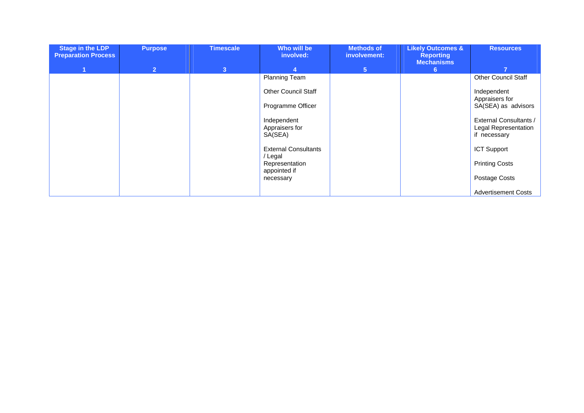| <b>Stage in the LDP</b><br><b>Preparation Process</b> | <b>Purpose</b> | <b>Timescale</b> | Who will be<br>involved:             | <b>Methods of</b><br>involvement: | <b>Likely Outcomes &amp;</b><br><b>Reporting</b><br><b>Mechanisms</b> | <b>Resources</b>                     |
|-------------------------------------------------------|----------------|------------------|--------------------------------------|-----------------------------------|-----------------------------------------------------------------------|--------------------------------------|
|                                                       | 2              | $\overline{3}$   | $\overline{4}$                       | 5 <sup>5</sup>                    | 6.                                                                    | 7                                    |
|                                                       |                |                  | <b>Planning Team</b>                 |                                   |                                                                       | <b>Other Council Staff</b>           |
|                                                       |                |                  | <b>Other Council Staff</b>           |                                   |                                                                       | Independent<br>Appraisers for        |
|                                                       |                |                  | Programme Officer                    |                                   |                                                                       | SA(SEA) as advisors                  |
|                                                       |                |                  | Independent                          |                                   |                                                                       | External Consultants /               |
|                                                       |                |                  | Appraisers for<br>SA(SEA)            |                                   |                                                                       | Legal Representation<br>if necessary |
|                                                       |                |                  | <b>External Consultants</b><br>Legal |                                   |                                                                       | <b>ICT Support</b>                   |
|                                                       |                |                  | Representation<br>appointed if       |                                   |                                                                       | <b>Printing Costs</b>                |
|                                                       |                |                  | necessary                            |                                   |                                                                       | Postage Costs                        |
|                                                       |                |                  |                                      |                                   |                                                                       | <b>Advertisement Costs</b>           |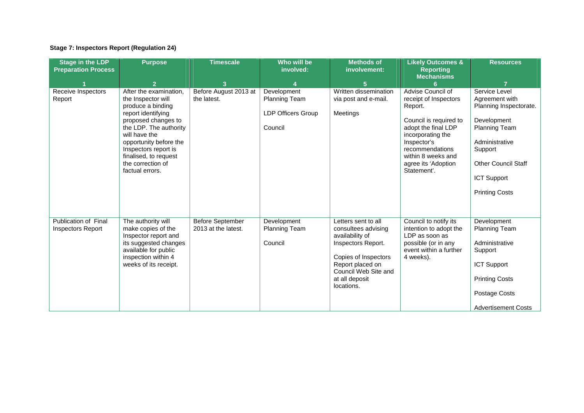## **Stage 7: Inspectors Report (Regulation 24)**

| <b>Stage in the LDP</b><br><b>Preparation Process</b> | <b>Purpose</b>                                                                                                                                                                                                                                                               | <b>Timescale</b>                               | Who will be<br>involved:                                                    | <b>Methods of</b><br>involvement:                                                                                                                                                       | <b>Likely Outcomes &amp;</b><br><b>Reporting</b><br><b>Mechanisms</b>                                                                                                                                                     | <b>Resources</b>                                                                                                                                                                                           |
|-------------------------------------------------------|------------------------------------------------------------------------------------------------------------------------------------------------------------------------------------------------------------------------------------------------------------------------------|------------------------------------------------|-----------------------------------------------------------------------------|-----------------------------------------------------------------------------------------------------------------------------------------------------------------------------------------|---------------------------------------------------------------------------------------------------------------------------------------------------------------------------------------------------------------------------|------------------------------------------------------------------------------------------------------------------------------------------------------------------------------------------------------------|
|                                                       | $\overline{2}$                                                                                                                                                                                                                                                               | 3                                              |                                                                             | 5                                                                                                                                                                                       |                                                                                                                                                                                                                           |                                                                                                                                                                                                            |
| Receive Inspectors<br>Report                          | After the examination.<br>the Inspector will<br>produce a binding<br>report identifying<br>proposed changes to<br>the LDP. The authority<br>will have the<br>opportunity before the<br>Inspectors report is<br>finalised, to request<br>the correction of<br>factual errors. | Before August 2013 at<br>the latest.           | Development<br><b>Planning Team</b><br><b>LDP Officers Group</b><br>Council | Written dissemination<br>via post and e-mail.<br>Meetings                                                                                                                               | Advise Council of<br>receipt of Inspectors<br>Report.<br>Council is required to<br>adopt the final LDP<br>incorporating the<br>Inspector's<br>recommendations<br>within 8 weeks and<br>agree its 'Adoption<br>Statement'. | Service Level<br>Agreement with<br>Planning Inspectorate.<br>Development<br><b>Planning Team</b><br>Administrative<br>Support<br><b>Other Council Staff</b><br><b>ICT Support</b><br><b>Printing Costs</b> |
| Publication of Final<br><b>Inspectors Report</b>      | The authority will<br>make copies of the<br>Inspector report and<br>its suggested changes<br>available for public<br>inspection within 4<br>weeks of its receipt.                                                                                                            | <b>Before September</b><br>2013 at the latest. | Development<br><b>Planning Team</b><br>Council                              | Letters sent to all<br>consultees advising<br>availability of<br>Inspectors Report.<br>Copies of Inspectors<br>Report placed on<br>Council Web Site and<br>at all deposit<br>locations. | Council to notify its<br>intention to adopt the<br>LDP as soon as<br>possible (or in any<br>event within a further<br>4 weeks).                                                                                           | Development<br><b>Planning Team</b><br>Administrative<br>Support<br><b>ICT Support</b><br><b>Printing Costs</b><br>Postage Costs<br><b>Advertisement Costs</b>                                             |